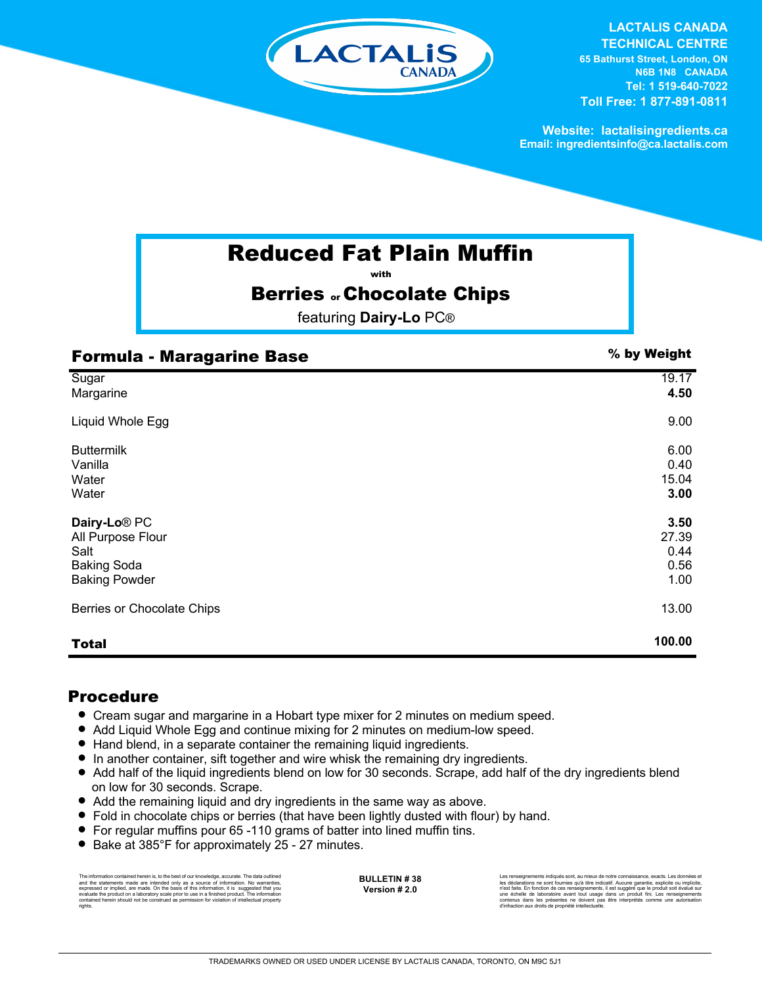

**LACTALIS CANADA TECHNICAL CENTRE 65 Bathurst Street, London, ON N6B 1N8 CANADA Tel: 1 519-640-7022 Toll Free: 1 877-891-0811**

**Website: lactalisingredients.ca Email: ingredientsinfo@ca.lactalis.com**

## Reduced Fat Plain Muffin

with

### **Berries .. Chocolate Chips**

featuring **Dairy-Lo** PC®

| <b>Formula - Maragarine Base</b> | % by Weight |
|----------------------------------|-------------|
| Sugar                            | 19.17       |
| Margarine                        | 4.50        |
| Liquid Whole Egg                 | 9.00        |
| <b>Buttermilk</b>                | 6.00        |
| Vanilla                          | 0.40        |
| Water                            | 15.04       |
| Water                            | 3.00        |
| Dairy-Lo <sup>®</sup> PC         | 3.50        |
| All Purpose Flour                | 27.39       |
| Salt                             | 0.44        |
| <b>Baking Soda</b>               | 0.56        |
| <b>Baking Powder</b>             | 1.00        |
| Berries or Chocolate Chips       | 13.00       |
| <b>Total</b>                     | 100.00      |

### Procedure

- Cream sugar and margarine in a Hobart type mixer for 2 minutes on medium speed.
- Add Liquid Whole Egg and continue mixing for 2 minutes on medium-low speed.
- Hand blend, in a separate container the remaining liquid ingredients.
- = In another container, sift together and wire whisk the remaining dry ingredients.
- Add half of the liquid ingredients blend on low for 30 seconds. Scrape, add half of the dry ingredients blend on low for 30 seconds. Scrape.
- Add the remaining liquid and dry ingredients in the same way as above.
- = Fold in chocolate chips or berries (that have been lightly dusted with flour) by hand.
- For regular muffins pour 65 -110 grams of batter into lined muffin tins.
- Bake at 385°F for approximately 25 27 minutes.

The information contained herein is, to the best of our knowledge, accurate. The data outlined<br>and the statements made are intended only as a source of information. No warranties,<br>expressed or implied, are made. On the bas evaluate the product on a laboratory scale prior to use in a finished product. The information contained herein should not be construed as permission for violation of intellectual property rights.

**BULLETIN # 38 Version # 2.0**

Les renseignements indiqués sont, au mieux de notre connaissance, exacts. Les données et<br>les déclarations ne sont fournies qu'à titre indicatif. Aucune garantie, explicite ou implicite,<br>n'est faite. En fonction de ces rens une échelle de laboratoire avant tout usage dans un produit fini. Les renseignements<br>contenus dans les présentes ne doivent pas être interprétés comme une autorisation<br>d'infraction aux droits de propriété intellectuelle.